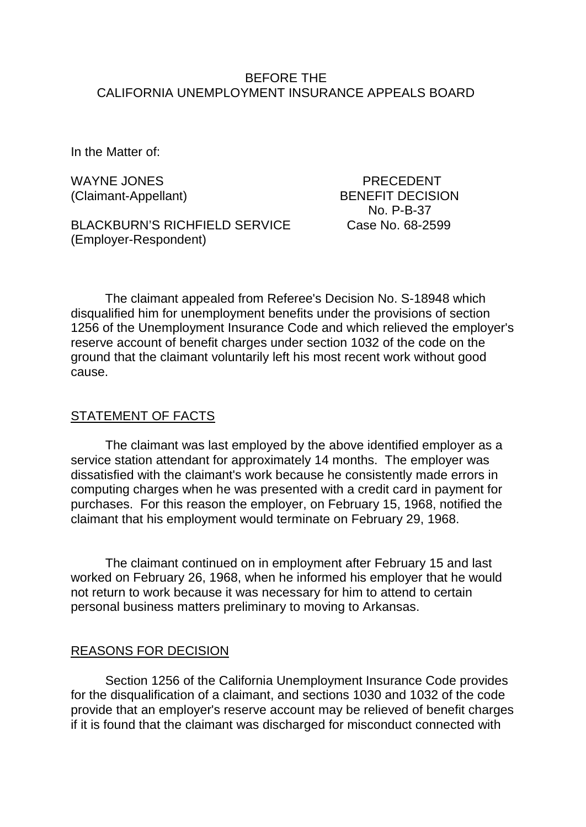## BEFORE THE CALIFORNIA UNEMPLOYMENT INSURANCE APPEALS BOARD

In the Matter of:

WAYNE JONES **Example 20 YO FRECEDENT** 

BLACKBURN'S RICHFIELD SERVICE Case No. 68-2599 (Employer-Respondent)

(Claimant-Appellant) BENEFIT DECISION No. P-B-37

The claimant appealed from Referee's Decision No. S-18948 which disqualified him for unemployment benefits under the provisions of section 1256 of the Unemployment Insurance Code and which relieved the employer's reserve account of benefit charges under section 1032 of the code on the ground that the claimant voluntarily left his most recent work without good cause.

## STATEMENT OF FACTS

The claimant was last employed by the above identified employer as a service station attendant for approximately 14 months. The employer was dissatisfied with the claimant's work because he consistently made errors in computing charges when he was presented with a credit card in payment for purchases. For this reason the employer, on February 15, 1968, notified the claimant that his employment would terminate on February 29, 1968.

The claimant continued on in employment after February 15 and last worked on February 26, 1968, when he informed his employer that he would not return to work because it was necessary for him to attend to certain personal business matters preliminary to moving to Arkansas.

#### REASONS FOR DECISION

Section 1256 of the California Unemployment Insurance Code provides for the disqualification of a claimant, and sections 1030 and 1032 of the code provide that an employer's reserve account may be relieved of benefit charges if it is found that the claimant was discharged for misconduct connected with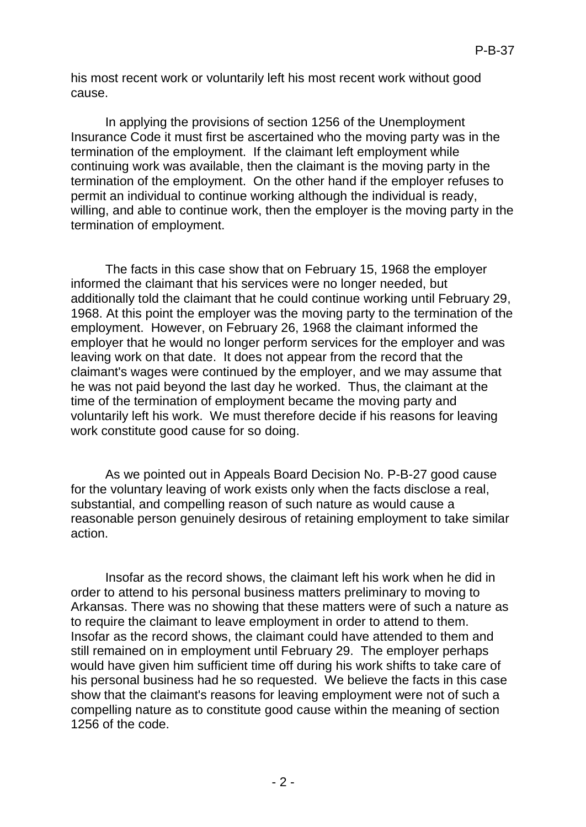his most recent work or voluntarily left his most recent work without good cause.

In applying the provisions of section 1256 of the Unemployment Insurance Code it must first be ascertained who the moving party was in the termination of the employment. If the claimant left employment while continuing work was available, then the claimant is the moving party in the termination of the employment. On the other hand if the employer refuses to permit an individual to continue working although the individual is ready, willing, and able to continue work, then the employer is the moving party in the termination of employment.

The facts in this case show that on February 15, 1968 the employer informed the claimant that his services were no longer needed, but additionally told the claimant that he could continue working until February 29, 1968. At this point the employer was the moving party to the termination of the employment. However, on February 26, 1968 the claimant informed the employer that he would no longer perform services for the employer and was leaving work on that date. It does not appear from the record that the claimant's wages were continued by the employer, and we may assume that he was not paid beyond the last day he worked. Thus, the claimant at the time of the termination of employment became the moving party and voluntarily left his work. We must therefore decide if his reasons for leaving work constitute good cause for so doing.

As we pointed out in Appeals Board Decision No. P-B-27 good cause for the voluntary leaving of work exists only when the facts disclose a real, substantial, and compelling reason of such nature as would cause a reasonable person genuinely desirous of retaining employment to take similar action.

Insofar as the record shows, the claimant left his work when he did in order to attend to his personal business matters preliminary to moving to Arkansas. There was no showing that these matters were of such a nature as to require the claimant to leave employment in order to attend to them. Insofar as the record shows, the claimant could have attended to them and still remained on in employment until February 29. The employer perhaps would have given him sufficient time off during his work shifts to take care of his personal business had he so requested. We believe the facts in this case show that the claimant's reasons for leaving employment were not of such a compelling nature as to constitute good cause within the meaning of section 1256 of the code.